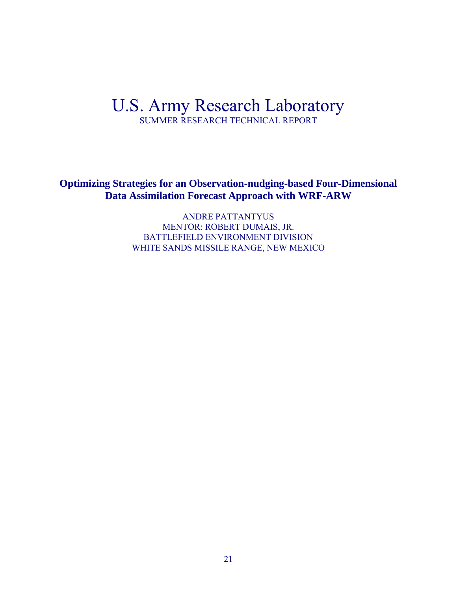## U.S. Army Research Laboratory SUMMER RESEARCH TECHNICAL REPORT

**Optimizing Strategies for an Observation-nudging-based Four-Dimensional Data Assimilation Forecast Approach with WRF-ARW**

> ANDRE PATTANTYUS MENTOR: ROBERT DUMAIS, JR. BATTLEFIELD ENVIRONMENT DIVISION WHITE SANDS MISSILE RANGE, NEW MEXICO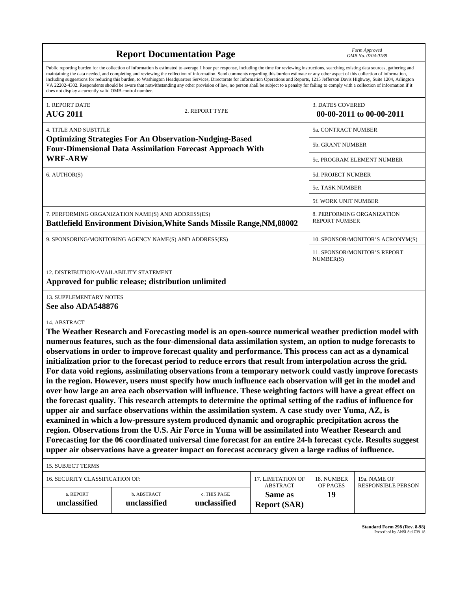|                                                                                                                                                                                                                                                                                                                                                                                                                                                                                                                                                                                                                                                                                                                                                                                                                                                                    | <b>Report Documentation Page</b>                                                                                                                                                                                                                                                                                                                                                                                                                                                                                                                                                                                                                                                                                                                                                                                                                                                                                                                                                                                                                                                                                                                                                                                                                                                                                                                                                                                                           |                |                                |                                  | Form Approved<br>OMB No. 0704-0188 |
|--------------------------------------------------------------------------------------------------------------------------------------------------------------------------------------------------------------------------------------------------------------------------------------------------------------------------------------------------------------------------------------------------------------------------------------------------------------------------------------------------------------------------------------------------------------------------------------------------------------------------------------------------------------------------------------------------------------------------------------------------------------------------------------------------------------------------------------------------------------------|--------------------------------------------------------------------------------------------------------------------------------------------------------------------------------------------------------------------------------------------------------------------------------------------------------------------------------------------------------------------------------------------------------------------------------------------------------------------------------------------------------------------------------------------------------------------------------------------------------------------------------------------------------------------------------------------------------------------------------------------------------------------------------------------------------------------------------------------------------------------------------------------------------------------------------------------------------------------------------------------------------------------------------------------------------------------------------------------------------------------------------------------------------------------------------------------------------------------------------------------------------------------------------------------------------------------------------------------------------------------------------------------------------------------------------------------|----------------|--------------------------------|----------------------------------|------------------------------------|
| Public reporting burden for the collection of information is estimated to average 1 hour per response, including the time for reviewing instructions, searching existing data sources, gathering and<br>maintaining the data needed, and completing and reviewing the collection of information. Send comments regarding this burden estimate or any other aspect of this collection of information,<br>including suggestions for reducing this burden, to Washington Headquarters Services, Directorate for Information Operations and Reports, 1215 Jefferson Davis Highway, Suite 1204, Arlington<br>VA 22202-4302. Respondents should be aware that notwithstanding any other provision of law, no person shall be subject to a penalty for failing to comply with a collection of information if it<br>does not display a currently valid OMB control number. |                                                                                                                                                                                                                                                                                                                                                                                                                                                                                                                                                                                                                                                                                                                                                                                                                                                                                                                                                                                                                                                                                                                                                                                                                                                                                                                                                                                                                                            |                |                                |                                  |                                    |
| 1. REPORT DATE<br><b>AUG 2011</b>                                                                                                                                                                                                                                                                                                                                                                                                                                                                                                                                                                                                                                                                                                                                                                                                                                  |                                                                                                                                                                                                                                                                                                                                                                                                                                                                                                                                                                                                                                                                                                                                                                                                                                                                                                                                                                                                                                                                                                                                                                                                                                                                                                                                                                                                                                            | 2. REPORT TYPE |                                | <b>3. DATES COVERED</b>          | 00-00-2011 to 00-00-2011           |
| <b>4. TITLE AND SUBTITLE</b>                                                                                                                                                                                                                                                                                                                                                                                                                                                                                                                                                                                                                                                                                                                                                                                                                                       |                                                                                                                                                                                                                                                                                                                                                                                                                                                                                                                                                                                                                                                                                                                                                                                                                                                                                                                                                                                                                                                                                                                                                                                                                                                                                                                                                                                                                                            |                |                                | 5a. CONTRACT NUMBER              |                                    |
| <b>Optimizing Strategies For An Observation-Nudging-Based</b><br><b>Four-Dimensional Data Assimilation Forecast Approach With</b><br><b>WRF-ARW</b>                                                                                                                                                                                                                                                                                                                                                                                                                                                                                                                                                                                                                                                                                                                |                                                                                                                                                                                                                                                                                                                                                                                                                                                                                                                                                                                                                                                                                                                                                                                                                                                                                                                                                                                                                                                                                                                                                                                                                                                                                                                                                                                                                                            |                |                                | 5b. GRANT NUMBER                 |                                    |
|                                                                                                                                                                                                                                                                                                                                                                                                                                                                                                                                                                                                                                                                                                                                                                                                                                                                    |                                                                                                                                                                                                                                                                                                                                                                                                                                                                                                                                                                                                                                                                                                                                                                                                                                                                                                                                                                                                                                                                                                                                                                                                                                                                                                                                                                                                                                            |                |                                |                                  | 5c. PROGRAM ELEMENT NUMBER         |
| 6. AUTHOR(S)                                                                                                                                                                                                                                                                                                                                                                                                                                                                                                                                                                                                                                                                                                                                                                                                                                                       |                                                                                                                                                                                                                                                                                                                                                                                                                                                                                                                                                                                                                                                                                                                                                                                                                                                                                                                                                                                                                                                                                                                                                                                                                                                                                                                                                                                                                                            |                |                                | 5d. PROJECT NUMBER               |                                    |
|                                                                                                                                                                                                                                                                                                                                                                                                                                                                                                                                                                                                                                                                                                                                                                                                                                                                    |                                                                                                                                                                                                                                                                                                                                                                                                                                                                                                                                                                                                                                                                                                                                                                                                                                                                                                                                                                                                                                                                                                                                                                                                                                                                                                                                                                                                                                            |                |                                | <b>5e. TASK NUMBER</b>           |                                    |
|                                                                                                                                                                                                                                                                                                                                                                                                                                                                                                                                                                                                                                                                                                                                                                                                                                                                    |                                                                                                                                                                                                                                                                                                                                                                                                                                                                                                                                                                                                                                                                                                                                                                                                                                                                                                                                                                                                                                                                                                                                                                                                                                                                                                                                                                                                                                            |                |                                | 5f. WORK UNIT NUMBER             |                                    |
| 7. PERFORMING ORGANIZATION NAME(S) AND ADDRESS(ES)<br><b>Battlefield Environment Division, White Sands Missile Range, NM, 88002</b>                                                                                                                                                                                                                                                                                                                                                                                                                                                                                                                                                                                                                                                                                                                                |                                                                                                                                                                                                                                                                                                                                                                                                                                                                                                                                                                                                                                                                                                                                                                                                                                                                                                                                                                                                                                                                                                                                                                                                                                                                                                                                                                                                                                            |                |                                | <b>REPORT NUMBER</b>             | 8. PERFORMING ORGANIZATION         |
| 9. SPONSORING/MONITORING AGENCY NAME(S) AND ADDRESS(ES)                                                                                                                                                                                                                                                                                                                                                                                                                                                                                                                                                                                                                                                                                                                                                                                                            |                                                                                                                                                                                                                                                                                                                                                                                                                                                                                                                                                                                                                                                                                                                                                                                                                                                                                                                                                                                                                                                                                                                                                                                                                                                                                                                                                                                                                                            |                |                                | 10. SPONSOR/MONITOR'S ACRONYM(S) |                                    |
|                                                                                                                                                                                                                                                                                                                                                                                                                                                                                                                                                                                                                                                                                                                                                                                                                                                                    |                                                                                                                                                                                                                                                                                                                                                                                                                                                                                                                                                                                                                                                                                                                                                                                                                                                                                                                                                                                                                                                                                                                                                                                                                                                                                                                                                                                                                                            |                |                                | NUMBER(S)                        | 11. SPONSOR/MONITOR'S REPORT       |
| <b>12. DISTRIBUTION/AVAILABILITY STATEMENT</b><br><b>13. SUPPLEMENTARY NOTES</b><br>See also ADA548876                                                                                                                                                                                                                                                                                                                                                                                                                                                                                                                                                                                                                                                                                                                                                             | Approved for public release; distribution unlimited                                                                                                                                                                                                                                                                                                                                                                                                                                                                                                                                                                                                                                                                                                                                                                                                                                                                                                                                                                                                                                                                                                                                                                                                                                                                                                                                                                                        |                |                                |                                  |                                    |
| 14. ABSTRACT<br><b>15. SUBJECT TERMS</b>                                                                                                                                                                                                                                                                                                                                                                                                                                                                                                                                                                                                                                                                                                                                                                                                                           | The Weather Research and Forecasting model is an open-source numerical weather prediction model with<br>numerous features, such as the four-dimensional data assimilation system, an option to nudge forecasts to<br>observations in order to improve forecast quality and performance. This process can act as a dynamical<br>initialization prior to the forecast period to reduce errors that result from interpolation across the grid.<br>For data void regions, assimilating observations from a temporary network could vastly improve forecasts<br>in the region. However, users must specify how much influence each observation will get in the model and<br>over how large an area each observation will influence. These weighting factors will have a great effect on<br>the forecast quality. This research attempts to determine the optimal setting of the radius of influence for<br>upper air and surface observations within the assimilation system. A case study over Yuma, AZ, is<br>examined in which a low-pressure system produced dynamic and orographic precipitation across the<br>region. Observations from the U.S. Air Force in Yuma will be assimilated into Weather Research and<br>Forecasting for the 06 coordinated universal time forecast for an entire 24-h forecast cycle. Results suggest<br>upper air observations have a greater impact on forecast accuracy given a large radius of influence. |                |                                |                                  |                                    |
| 16. SECURITY CLASSIFICATION OF:                                                                                                                                                                                                                                                                                                                                                                                                                                                                                                                                                                                                                                                                                                                                                                                                                                    |                                                                                                                                                                                                                                                                                                                                                                                                                                                                                                                                                                                                                                                                                                                                                                                                                                                                                                                                                                                                                                                                                                                                                                                                                                                                                                                                                                                                                                            |                | 17. LIMITATION OF              | 18. NUMBER                       | 19a. NAME OF                       |
| a. REPORT                                                                                                                                                                                                                                                                                                                                                                                                                                                                                                                                                                                                                                                                                                                                                                                                                                                          | b. ABSTRACT                                                                                                                                                                                                                                                                                                                                                                                                                                                                                                                                                                                                                                                                                                                                                                                                                                                                                                                                                                                                                                                                                                                                                                                                                                                                                                                                                                                                                                | c. THIS PAGE   | <b>ABSTRACT</b>                | OF PAGES                         | <b>RESPONSIBLE PERSON</b>          |
| unclassified                                                                                                                                                                                                                                                                                                                                                                                                                                                                                                                                                                                                                                                                                                                                                                                                                                                       | unclassified                                                                                                                                                                                                                                                                                                                                                                                                                                                                                                                                                                                                                                                                                                                                                                                                                                                                                                                                                                                                                                                                                                                                                                                                                                                                                                                                                                                                                               | unclassified   | Same as<br><b>Report (SAR)</b> | 19                               |                                    |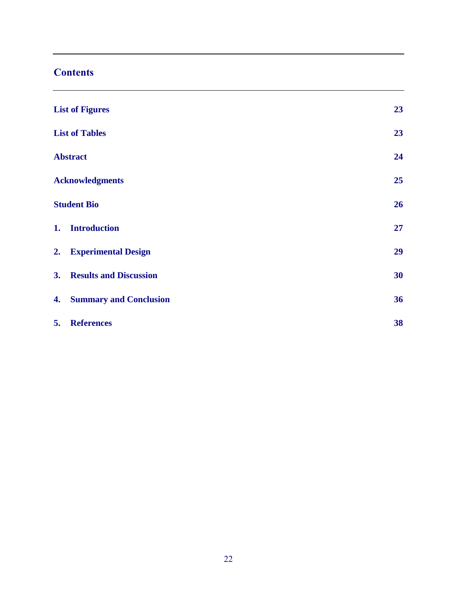## **Contents**

|    | <b>List of Figures</b>        | 23 |
|----|-------------------------------|----|
|    | <b>List of Tables</b>         | 23 |
|    | <b>Abstract</b>               | 24 |
|    | <b>Acknowledgments</b>        | 25 |
|    | <b>Student Bio</b>            | 26 |
| 1. | <b>Introduction</b>           | 27 |
|    | 2. Experimental Design        | 29 |
|    | 3. Results and Discussion     | 30 |
| 4. | <b>Summary and Conclusion</b> | 36 |
| 5. | <b>References</b>             | 38 |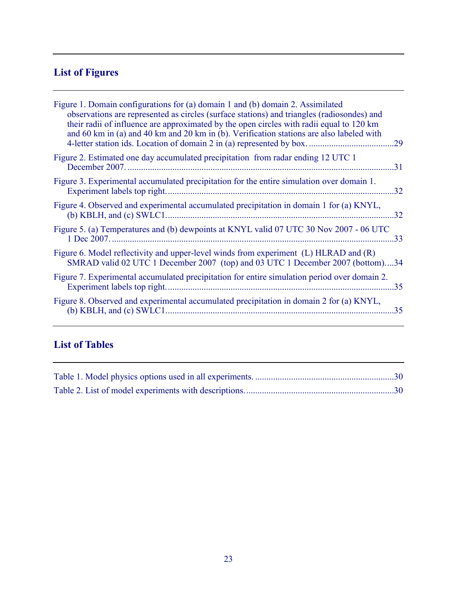# **List of Figures**

| Figure 1. Domain configurations for (a) domain 1 and (b) domain 2. Assimilated<br>observations are represented as circles (surface stations) and triangles (radiosondes) and<br>their radii of influence are approximated by the open circles with radii equal to 120 km<br>and 60 km in (a) and 40 km and 20 km in (b). Verification stations are also labeled with | .29 |
|----------------------------------------------------------------------------------------------------------------------------------------------------------------------------------------------------------------------------------------------------------------------------------------------------------------------------------------------------------------------|-----|
| Figure 2. Estimated one day accumulated precipitation from radar ending 12 UTC 1                                                                                                                                                                                                                                                                                     | 31  |
| Figure 3. Experimental accumulated precipitation for the entire simulation over domain 1.                                                                                                                                                                                                                                                                            | 32  |
| Figure 4. Observed and experimental accumulated precipitation in domain 1 for (a) KNYL,                                                                                                                                                                                                                                                                              | 32  |
| Figure 5. (a) Temperatures and (b) dewpoints at KNYL valid 07 UTC 30 Nov 2007 - 06 UTC                                                                                                                                                                                                                                                                               | 33  |
| Figure 6. Model reflectivity and upper-level winds from experiment (L) HLRAD and (R)<br>SMRAD valid 02 UTC 1 December 2007 (top) and 03 UTC 1 December 2007 (bottom)34                                                                                                                                                                                               |     |
| Figure 7. Experimental accumulated precipitation for entire simulation period over domain 2.                                                                                                                                                                                                                                                                         | .35 |
| Figure 8. Observed and experimental accumulated precipitation in domain 2 for (a) KNYL,                                                                                                                                                                                                                                                                              | .35 |
|                                                                                                                                                                                                                                                                                                                                                                      |     |

## **List of Tables**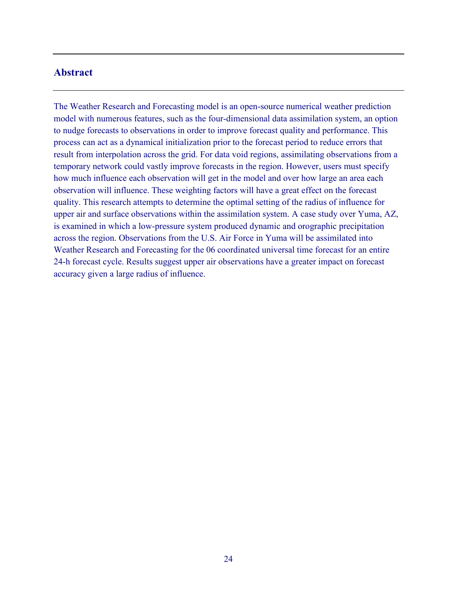#### **Abstract**

The Weather Research and Forecasting model is an open-source numerical weather prediction model with numerous features, such as the four-dimensional data assimilation system, an option to nudge forecasts to observations in order to improve forecast quality and performance. This process can act as a dynamical initialization prior to the forecast period to reduce errors that result from interpolation across the grid. For data void regions, assimilating observations from a temporary network could vastly improve forecasts in the region. However, users must specify how much influence each observation will get in the model and over how large an area each observation will influence. These weighting factors will have a great effect on the forecast quality. This research attempts to determine the optimal setting of the radius of influence for upper air and surface observations within the assimilation system. A case study over Yuma, AZ, is examined in which a low-pressure system produced dynamic and orographic precipitation across the region. Observations from the U.S. Air Force in Yuma will be assimilated into Weather Research and Forecasting for the 06 coordinated universal time forecast for an entire 24-h forecast cycle. Results suggest upper air observations have a greater impact on forecast accuracy given a large radius of influence.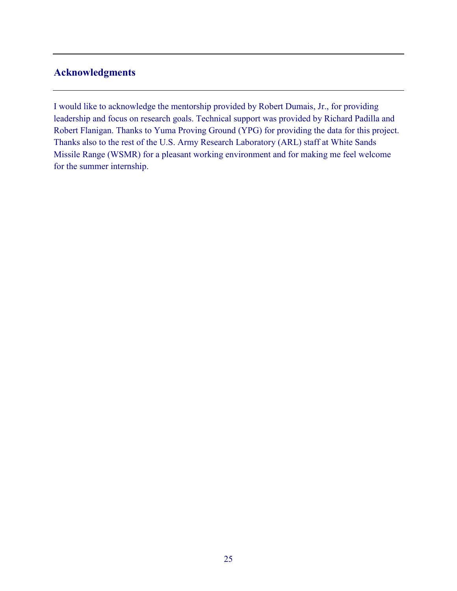### **Acknowledgments**

I would like to acknowledge the mentorship provided by Robert Dumais, Jr., for providing leadership and focus on research goals. Technical support was provided by Richard Padilla and Robert Flanigan. Thanks to Yuma Proving Ground (YPG) for providing the data for this project. Thanks also to the rest of the U.S. Army Research Laboratory (ARL) staff at White Sands Missile Range (WSMR) for a pleasant working environment and for making me feel welcome for the summer internship.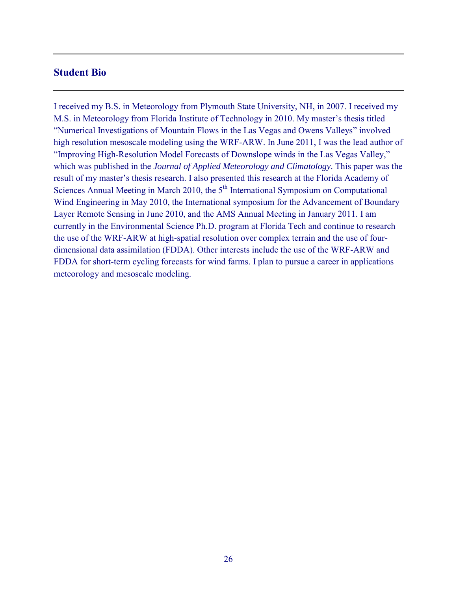#### **Student Bio**

I received my B.S. in Meteorology from Plymouth State University, NH, in 2007. I received my M.S. in Meteorology from Florida Institute of Technology in 2010. My master's thesis titled "Numerical Investigations of Mountain Flows in the Las Vegas and Owens Valleys" involved high resolution mesoscale modeling using the WRF-ARW. In June 2011, I was the lead author of "Improving High-Resolution Model Forecasts of Downslope winds in the Las Vegas Valley," which was published in the *Journal of Applied Meteorology and Climatology*. This paper was the result of my master's thesis research. I also presented this research at the Florida Academy of Sciences Annual Meeting in March 2010, the  $5<sup>th</sup>$  International Symposium on Computational Wind Engineering in May 2010, the International symposium for the Advancement of Boundary Layer Remote Sensing in June 2010, and the AMS Annual Meeting in January 2011. I am currently in the Environmental Science Ph.D. program at Florida Tech and continue to research the use of the WRF-ARW at high-spatial resolution over complex terrain and the use of fourdimensional data assimilation (FDDA). Other interests include the use of the WRF-ARW and FDDA for short-term cycling forecasts for wind farms. I plan to pursue a career in applications meteorology and mesoscale modeling.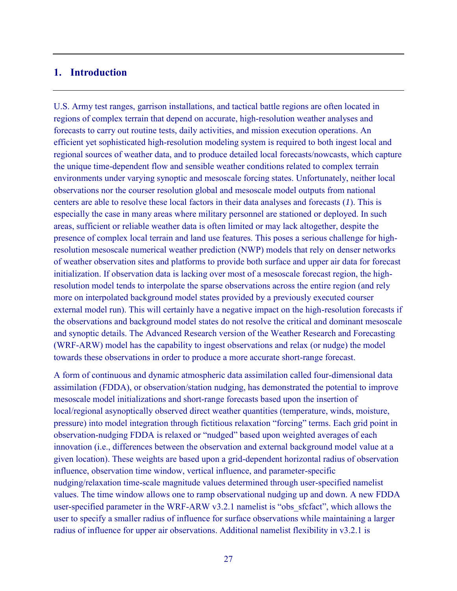#### **1. Introduction**

U.S. Army test ranges, garrison installations, and tactical battle regions are often located in regions of complex terrain that depend on accurate, high-resolution weather analyses and forecasts to carry out routine tests, daily activities, and mission execution operations. An efficient yet sophisticated high-resolution modeling system is required to both ingest local and regional sources of weather data, and to produce detailed local forecasts/nowcasts, which capture the unique time-dependent flow and sensible weather conditions related to complex terrain environments under varying synoptic and mesoscale forcing states. Unfortunately, neither local observations nor the courser resolution global and mesoscale model outputs from national centers are able to resolve these local factors in their data analyses and forecasts (*1*). This is especially the case in many areas where military personnel are stationed or deployed. In such areas, sufficient or reliable weather data is often limited or may lack altogether, despite the presence of complex local terrain and land use features. This poses a serious challenge for highresolution mesoscale numerical weather prediction (NWP) models that rely on denser networks of weather observation sites and platforms to provide both surface and upper air data for forecast initialization. If observation data is lacking over most of a mesoscale forecast region, the highresolution model tends to interpolate the sparse observations across the entire region (and rely more on interpolated background model states provided by a previously executed courser external model run). This will certainly have a negative impact on the high-resolution forecasts if the observations and background model states do not resolve the critical and dominant mesoscale and synoptic details. The Advanced Research version of the Weather Research and Forecasting (WRF-ARW) model has the capability to ingest observations and relax (or nudge) the model towards these observations in order to produce a more accurate short-range forecast.

A form of continuous and dynamic atmospheric data assimilation called four-dimensional data assimilation (FDDA), or observation/station nudging, has demonstrated the potential to improve mesoscale model initializations and short-range forecasts based upon the insertion of local/regional asynoptically observed direct weather quantities (temperature, winds, moisture, pressure) into model integration through fictitious relaxation "forcing" terms. Each grid point in observation-nudging FDDA is relaxed or "nudged" based upon weighted averages of each innovation (i.e., differences between the observation and external background model value at a given location). These weights are based upon a grid-dependent horizontal radius of observation influence, observation time window, vertical influence, and parameter-specific nudging/relaxation time-scale magnitude values determined through user-specified namelist values. The time window allows one to ramp observational nudging up and down. A new FDDA user-specified parameter in the WRF-ARW v3.2.1 namelist is "obs\_sfcfact", which allows the user to specify a smaller radius of influence for surface observations while maintaining a larger radius of influence for upper air observations. Additional namelist flexibility in v3.2.1 is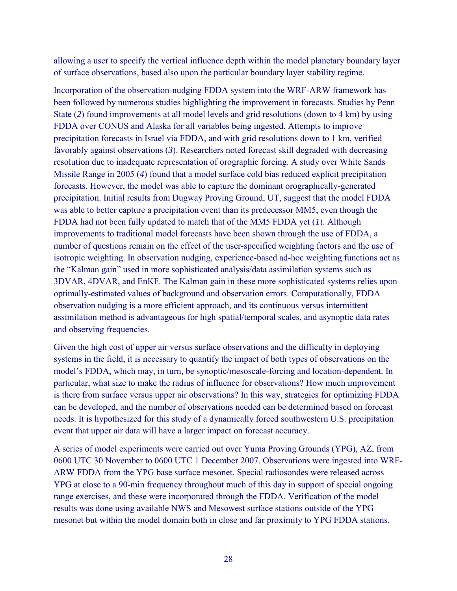allowing a user to specify the vertical influence depth within the model planetary boundary layer of surface observations, based also upon the particular boundary layer stability regime.

Incorporation of the observation-nudging FDDA system into the WRF-ARW framework has been followed by numerous studies highlighting the improvement in forecasts. Studies by Penn State (*2*) found improvements at all model levels and grid resolutions (down to 4 km) by using FDDA over CONUS and Alaska for all variables being ingested. Attempts to improve precipitation forecasts in Israel via FDDA, and with grid resolutions down to 1 km, verified favorably against observations (*3*). Researchers noted forecast skill degraded with decreasing resolution due to inadequate representation of orographic forcing. A study over White Sands Missile Range in 2005 (*4*) found that a model surface cold bias reduced explicit precipitation forecasts. However, the model was able to capture the dominant orographically-generated precipitation. Initial results from Dugway Proving Ground, UT, suggest that the model FDDA was able to better capture a precipitation event than its predecessor MM5, even though the FDDA had not been fully updated to match that of the MM5 FDDA yet (*1*). Although improvements to traditional model forecasts have been shown through the use of FDDA, a number of questions remain on the effect of the user-specified weighting factors and the use of isotropic weighting. In observation nudging, experience-based ad-hoc weighting functions act as the "Kalman gain" used in more sophisticated analysis/data assimilation systems such as 3DVAR, 4DVAR, and EnKF. The Kalman gain in these more sophisticated systems relies upon optimally-estimated values of background and observation errors. Computationally, FDDA observation nudging is a more efficient approach, and its continuous versus intermittent assimilation method is advantageous for high spatial/temporal scales, and asynoptic data rates and observing frequencies.

Given the high cost of upper air versus surface observations and the difficulty in deploying systems in the field, it is necessary to quantify the impact of both types of observations on the model's FDDA, which may, in turn, be synoptic/mesoscale-forcing and location-dependent. In particular, what size to make the radius of influence for observations? How much improvement is there from surface versus upper air observations? In this way, strategies for optimizing FDDA can be developed, and the number of observations needed can be determined based on forecast needs. It is hypothesized for this study of a dynamically forced southwestern U.S. precipitation event that upper air data will have a larger impact on forecast accuracy.

A series of model experiments were carried out over Yuma Proving Grounds (YPG), AZ, from 0600 UTC 30 November to 0600 UTC 1 December 2007. Observations were ingested into WRF-ARW FDDA from the YPG base surface mesonet. Special radiosondes were released across YPG at close to a 90-min frequency throughout much of this day in support of special ongoing range exercises, and these were incorporated through the FDDA. Verification of the model results was done using available NWS and Mesowest surface stations outside of the YPG mesonet but within the model domain both in close and far proximity to YPG FDDA stations.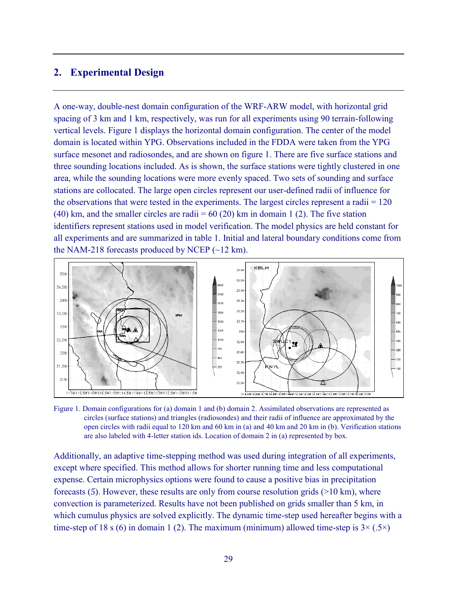### **2. Experimental Design**

A one-way, double-nest domain configuration of the WRF-ARW model, with horizontal grid spacing of 3 km and 1 km, respectively, was run for all experiments using 90 terrain-following vertical levels. Figure 1 displays the horizontal domain configuration. The center of the model domain is located within YPG. Observations included in the FDDA were taken from the YPG surface mesonet and radiosondes, and are shown on figure 1. There are five surface stations and three sounding locations included. As is shown, the surface stations were tightly clustered in one area, while the sounding locations were more evenly spaced. Two sets of sounding and surface stations are collocated. The large open circles represent our user-defined radii of influence for the observations that were tested in the experiments. The largest circles represent a radii = 120 (40) km, and the smaller circles are radii =  $60$  (20) km in domain 1 (2). The five station identifiers represent stations used in model verification. The model physics are held constant for all experiments and are summarized in table 1. Initial and lateral boundary conditions come from the NAM-218 forecasts produced by NCEP  $(\sim]2 \text{ km})$ .



Figure 1. Domain configurations for (a) domain 1 and (b) domain 2. Assimilated observations are represented as circles (surface stations) and triangles (radiosondes) and their radii of influence are approximated by the open circles with radii equal to 120 km and 60 km in (a) and 40 km and 20 km in (b). Verification stations are also labeled with 4-letter station ids. Location of domain 2 in (a) represented by box.

Additionally, an adaptive time-stepping method was used during integration of all experiments, except where specified. This method allows for shorter running time and less computational expense. Certain microphysics options were found to cause a positive bias in precipitation forecasts (*5*). However, these results are only from course resolution grids (>10 km), where convection is parameterized. Results have not been published on grids smaller than 5 km, in which cumulus physics are solved explicitly. The dynamic time-step used hereafter begins with a time-step of 18 s (6) in domain 1 (2). The maximum (minimum) allowed time-step is  $3 \times (.5 \times)$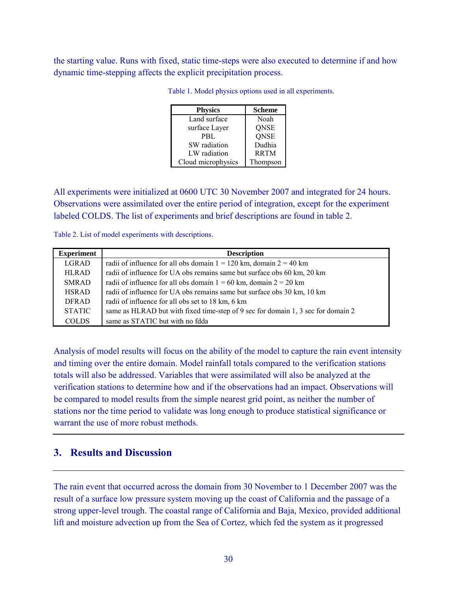the starting value. Runs with fixed, static time-steps were also executed to determine if and how dynamic time-stepping affects the explicit precipitation process.

| <b>Physics</b>     | <b>Scheme</b> |
|--------------------|---------------|
| Land surface       | Noah          |
| surface Layer      | <b>QNSE</b>   |
| PBL                | <b>QNSE</b>   |
| SW radiation       | Dudhia        |
| LW radiation       | <b>RRTM</b>   |
| Cloud microphysics | Thompson      |

Table 1. Model physics options used in all experiments.

All experiments were initialized at 0600 UTC 30 November 2007 and integrated for 24 hours. Observations were assimilated over the entire period of integration, except for the experiment labeled COLDS. The list of experiments and brief descriptions are found in table 2.

Table 2. List of model experiments with descriptions.

| <b>Experiment</b> | <b>Description</b>                                                               |
|-------------------|----------------------------------------------------------------------------------|
| LGRAD             | radii of influence for all obs domain $1 = 120$ km, domain $2 = 40$ km           |
| <b>HLRAD</b>      | radii of influence for UA obs remains same but surface obs 60 km, 20 km          |
| <b>SMRAD</b>      | radii of influence for all obs domain $1 = 60$ km, domain $2 = 20$ km            |
| <b>HSRAD</b>      | radii of influence for UA obs remains same but surface obs 30 km, 10 km          |
| <b>DFRAD</b>      | radii of influence for all obs set to 18 km, 6 km                                |
| <b>STATIC</b>     | same as HLRAD but with fixed time-step of 9 sec for domain 1, 3 sec for domain 2 |
| <b>COLDS</b>      | same as STATIC but with no fdda                                                  |

Analysis of model results will focus on the ability of the model to capture the rain event intensity and timing over the entire domain. Model rainfall totals compared to the verification stations totals will also be addressed. Variables that were assimilated will also be analyzed at the verification stations to determine how and if the observations had an impact. Observations will be compared to model results from the simple nearest grid point, as neither the number of stations nor the time period to validate was long enough to produce statistical significance or warrant the use of more robust methods.

#### **3. Results and Discussion**

The rain event that occurred across the domain from 30 November to 1 December 2007 was the result of a surface low pressure system moving up the coast of California and the passage of a strong upper-level trough. The coastal range of California and Baja, Mexico, provided additional lift and moisture advection up from the Sea of Cortez, which fed the system as it progressed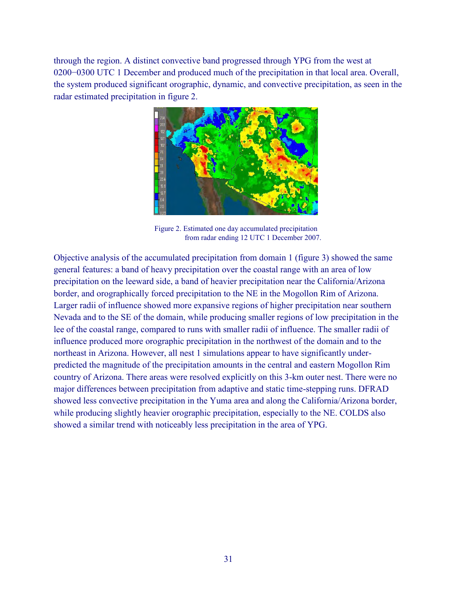through the region. A distinct convective band progressed through YPG from the west at 0200−0300 UTC 1 December and produced much of the precipitation in that local area. Overall, the system produced significant orographic, dynamic, and convective precipitation, as seen in the radar estimated precipitation in figure 2.



Figure 2. Estimated one day accumulated precipitation from radar ending 12 UTC 1 December 2007.

Objective analysis of the accumulated precipitation from domain 1 (figure 3) showed the same general features: a band of heavy precipitation over the coastal range with an area of low precipitation on the leeward side, a band of heavier precipitation near the California/Arizona border, and orographically forced precipitation to the NE in the Mogollon Rim of Arizona. Larger radii of influence showed more expansive regions of higher precipitation near southern Nevada and to the SE of the domain, while producing smaller regions of low precipitation in the lee of the coastal range, compared to runs with smaller radii of influence. The smaller radii of influence produced more orographic precipitation in the northwest of the domain and to the northeast in Arizona. However, all nest 1 simulations appear to have significantly underpredicted the magnitude of the precipitation amounts in the central and eastern Mogollon Rim country of Arizona. There areas were resolved explicitly on this 3-km outer nest. There were no major differences between precipitation from adaptive and static time-stepping runs. DFRAD showed less convective precipitation in the Yuma area and along the California/Arizona border, while producing slightly heavier orographic precipitation, especially to the NE. COLDS also showed a similar trend with noticeably less precipitation in the area of YPG.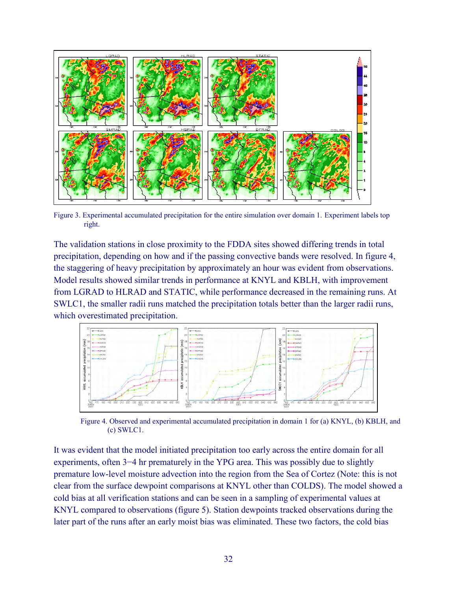

Figure 3. Experimental accumulated precipitation for the entire simulation over domain 1. Experiment labels top right.

The validation stations in close proximity to the FDDA sites showed differing trends in total precipitation, depending on how and if the passing convective bands were resolved. In figure 4, the staggering of heavy precipitation by approximately an hour was evident from observations. Model results showed similar trends in performance at KNYL and KBLH, with improvement from LGRAD to HLRAD and STATIC, while performance decreased in the remaining runs. At SWLC1, the smaller radii runs matched the precipitation totals better than the larger radii runs, which overestimated precipitation.



Figure 4. Observed and experimental accumulated precipitation in domain 1 for (a) KNYL, (b) KBLH, and (c) SWLC1.

It was evident that the model initiated precipitation too early across the entire domain for all experiments, often 3−4 hr prematurely in the YPG area. This was possibly due to slightly premature low-level moisture advection into the region from the Sea of Cortez (Note: this is not clear from the surface dewpoint comparisons at KNYL other than COLDS). The model showed a cold bias at all verification stations and can be seen in a sampling of experimental values at KNYL compared to observations (figure 5). Station dewpoints tracked observations during the later part of the runs after an early moist bias was eliminated. These two factors, the cold bias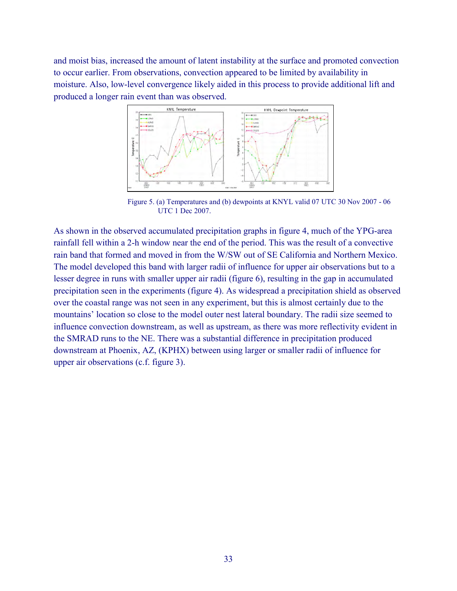and moist bias, increased the amount of latent instability at the surface and promoted convection to occur earlier. From observations, convection appeared to be limited by availability in moisture. Also, low-level convergence likely aided in this process to provide additional lift and produced a longer rain event than was observed.



Figure 5. (a) Temperatures and (b) dewpoints at KNYL valid 07 UTC 30 Nov 2007 - 06 UTC 1 Dec 2007.

As shown in the observed accumulated precipitation graphs in figure 4, much of the YPG-area rainfall fell within a 2-h window near the end of the period. This was the result of a convective rain band that formed and moved in from the W/SW out of SE California and Northern Mexico. The model developed this band with larger radii of influence for upper air observations but to a lesser degree in runs with smaller upper air radii (figure 6), resulting in the gap in accumulated precipitation seen in the experiments (figure 4). As widespread a precipitation shield as observed over the coastal range was not seen in any experiment, but this is almost certainly due to the mountains' location so close to the model outer nest lateral boundary. The radii size seemed to influence convection downstream, as well as upstream, as there was more reflectivity evident in the SMRAD runs to the NE. There was a substantial difference in precipitation produced downstream at Phoenix, AZ, (KPHX) between using larger or smaller radii of influence for upper air observations (c.f. figure 3).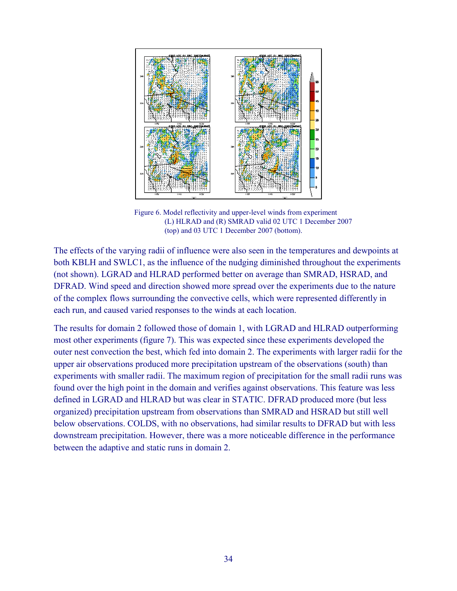

Figure 6. Model reflectivity and upper-level winds from experiment (L) HLRAD and (R) SMRAD valid 02 UTC 1 December 2007 (top) and 03 UTC 1 December 2007 (bottom).

The effects of the varying radii of influence were also seen in the temperatures and dewpoints at both KBLH and SWLC1, as the influence of the nudging diminished throughout the experiments (not shown). LGRAD and HLRAD performed better on average than SMRAD, HSRAD, and DFRAD. Wind speed and direction showed more spread over the experiments due to the nature of the complex flows surrounding the convective cells, which were represented differently in each run, and caused varied responses to the winds at each location.

The results for domain 2 followed those of domain 1, with LGRAD and HLRAD outperforming most other experiments (figure 7). This was expected since these experiments developed the outer nest convection the best, which fed into domain 2. The experiments with larger radii for the upper air observations produced more precipitation upstream of the observations (south) than experiments with smaller radii. The maximum region of precipitation for the small radii runs was found over the high point in the domain and verifies against observations. This feature was less defined in LGRAD and HLRAD but was clear in STATIC. DFRAD produced more (but less organized) precipitation upstream from observations than SMRAD and HSRAD but still well below observations. COLDS, with no observations, had similar results to DFRAD but with less downstream precipitation. However, there was a more noticeable difference in the performance between the adaptive and static runs in domain 2.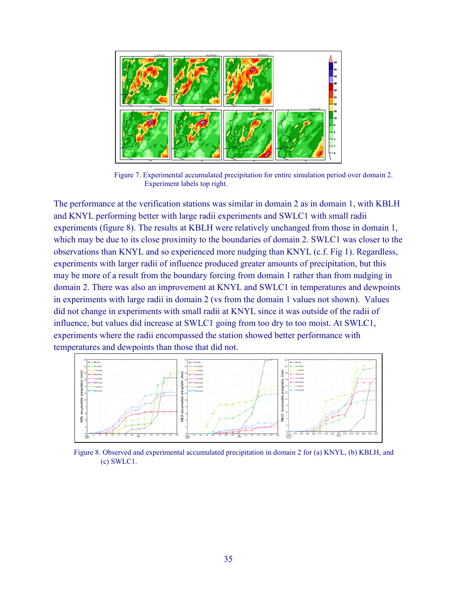

Figure 7. Experimental accumulated precipitation for entire simulation period over domain 2. Experiment labels top right.

The performance at the verification stations was similar in domain 2 as in domain 1, with KBLH and KNYL performing better with large radii experiments and SWLC1 with small radii experiments (figure 8). The results at KBLH were relatively unchanged from those in domain 1, which may be due to its close proximity to the boundaries of domain 2. SWLC1 was closer to the observations than KNYL and so experienced more nudging than KNYL (c.f. Fig 1). Regardless, experiments with larger radii of influence produced greater amounts of precipitation, but this may be more of a result from the boundary forcing from domain 1 rather than from nudging in domain 2. There was also an improvement at KNYL and SWLC1 in temperatures and dewpoints in experiments with large radii in domain 2 (vs from the domain 1 values not shown). Values did not change in experiments with small radii at KNYL since it was outside of the radii of influence, but values did increase at SWLC1 going from too dry to too moist. At SWLC1, experiments where the radii encompassed the station showed better performance with temperatures and dewpoints than those that did not.



Figure 8. Observed and experimental accumulated precipitation in domain 2 for (a) KNYL, (b) KBLH, and (c) SWLC1.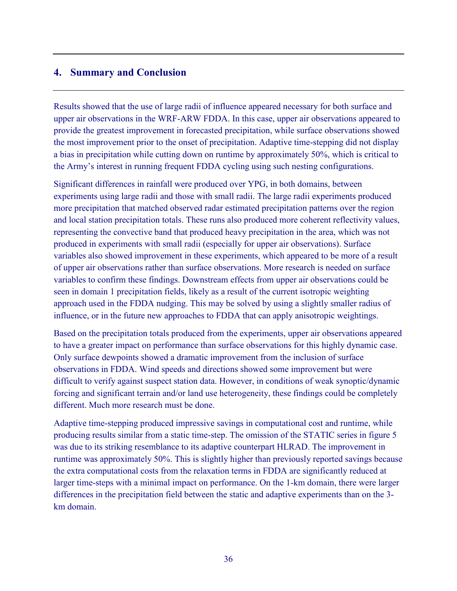#### **4. Summary and Conclusion**

Results showed that the use of large radii of influence appeared necessary for both surface and upper air observations in the WRF-ARW FDDA. In this case, upper air observations appeared to provide the greatest improvement in forecasted precipitation, while surface observations showed the most improvement prior to the onset of precipitation. Adaptive time-stepping did not display a bias in precipitation while cutting down on runtime by approximately 50%, which is critical to the Army's interest in running frequent FDDA cycling using such nesting configurations.

Significant differences in rainfall were produced over YPG, in both domains, between experiments using large radii and those with small radii. The large radii experiments produced more precipitation that matched observed radar estimated precipitation patterns over the region and local station precipitation totals. These runs also produced more coherent reflectivity values, representing the convective band that produced heavy precipitation in the area, which was not produced in experiments with small radii (especially for upper air observations). Surface variables also showed improvement in these experiments, which appeared to be more of a result of upper air observations rather than surface observations. More research is needed on surface variables to confirm these findings. Downstream effects from upper air observations could be seen in domain 1 precipitation fields, likely as a result of the current isotropic weighting approach used in the FDDA nudging. This may be solved by using a slightly smaller radius of influence, or in the future new approaches to FDDA that can apply anisotropic weightings.

Based on the precipitation totals produced from the experiments, upper air observations appeared to have a greater impact on performance than surface observations for this highly dynamic case. Only surface dewpoints showed a dramatic improvement from the inclusion of surface observations in FDDA. Wind speeds and directions showed some improvement but were difficult to verify against suspect station data. However, in conditions of weak synoptic/dynamic forcing and significant terrain and/or land use heterogeneity, these findings could be completely different. Much more research must be done.

Adaptive time-stepping produced impressive savings in computational cost and runtime, while producing results similar from a static time-step. The omission of the STATIC series in figure 5 was due to its striking resemblance to its adaptive counterpart HLRAD. The improvement in runtime was approximately 50%. This is slightly higher than previously reported savings because the extra computational costs from the relaxation terms in FDDA are significantly reduced at larger time-steps with a minimal impact on performance. On the 1-km domain, there were larger differences in the precipitation field between the static and adaptive experiments than on the 3 km domain.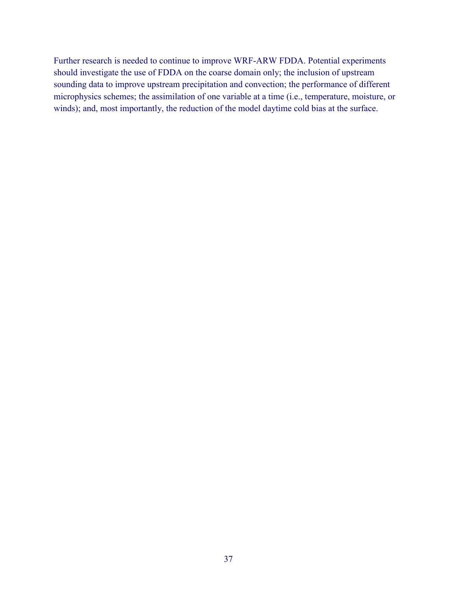Further research is needed to continue to improve WRF-ARW FDDA. Potential experiments should investigate the use of FDDA on the coarse domain only; the inclusion of upstream sounding data to improve upstream precipitation and convection; the performance of different microphysics schemes; the assimilation of one variable at a time (i.e., temperature, moisture, or winds); and, most importantly, the reduction of the model daytime cold bias at the surface.